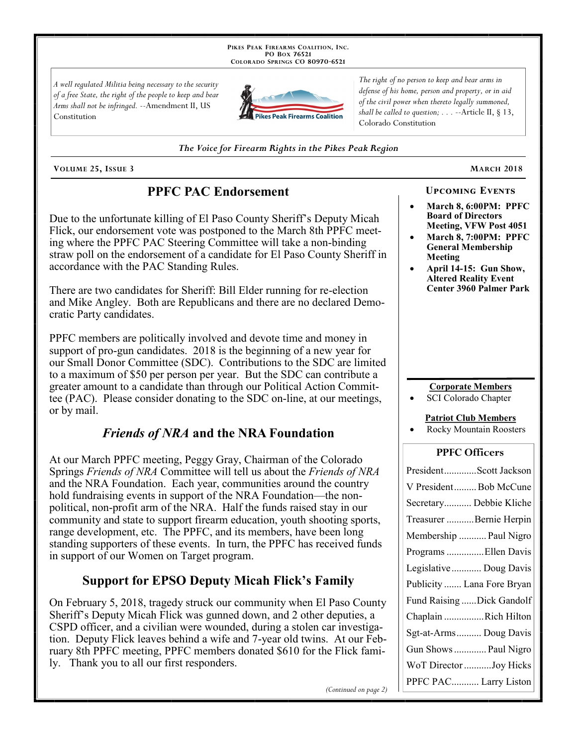PIKES PEAK FIREARMS COALITION, INC. PO Box 76521 COLORADO SPRINGS CO 80970-6521

A well regulated Militia being necessary to the security of a free State, the right of the people to keep and bear Arms shall not be infringed. --Amendment II, US Constitution



The right of no person to keep and bear arms in defense of his home, person and property, or in aid of the civil power when thereto legally summoned, shall be called to question;  $\ldots$  --Article II, § 13, Colorado Constitution

The Voice for Firearm Rights in the Pikes Peak Region

VOLUME 25, ISSUE 3

### **PPFC PAC Endorsement**

Due to the unfortunate killing of El Paso County Sheriff's Deputy Micah Flick, our endorsement vote was postponed to the March 8th PPFC meeting where the PPFC PAC Steering Committee will take a non-binding straw poll on the endorsement of a candidate for El Paso County Sheriff in accordance with the PAC Standing Rules.

There are two candidates for Sheriff: Bill Elder running for re-election and Mike Angley. Both are Republicans and there are no declared Democratic Party candidates.

PPFC members are politically involved and devote time and money in support of pro-gun candidates. 2018 is the beginning of a new year for our Small Donor Committee (SDC). Contributions to the SDC are limited to a maximum of \$50 per person per year. But the SDC can contribute a greater amount to a candidate than through our Political Action Committee (PAC). Please consider donating to the SDC on-line, at our meetings, or by mail.

### *Friends of NRA* and the NRA Foundation

At our March PPFC meeting, Peggy Gray, Chairman of the Colorado Springs Friends of NRA Committee will tell us about the Friends of NRA and the NRA Foundation. Each year, communities around the country hold fundraising events in support of the NRA Foundation—the nonpolitical, non-profit arm of the NRA. Half the funds raised stay in our community and state to support firearm education, youth shooting sports, range development, etc. The PPFC, and its members, have been long standing supporters of these events. In turn, the PPFC has received funds in support of our Women on Target program.

# **Support for EPSO Deputy Micah Flick's Family**

On February 5, 2018, tragedy struck our community when El Paso County Sheriff's Deputy Micah Flick was gunned down, and 2 other deputies, a CSPD officer, and a civilian were wounded, during a stolen car investigation. Deputy Flick leaves behind a wife and 7-year old twins. At our February 8th PPFC meeting, PPFC members donated \$610 for the Flick family. Thank you to all our first responders.

(Continued on page 2)

### **UPCOMING EVENTS**

- March 8, 6:00PM: PPFC **Board of Directors** Meeting, VFW Post 4051
- March 8, 7:00PM: PPFC **General Membership Meeting**
- April 14-15: Gun Show, **Altered Reality Event Center 3960 Palmer Park**

#### **Corporate Members**

**SCI Colorado Chapter** 

#### **Patriot Club Members**

Rocky Mountain Roosters

### **PPFC Officers**

| PresidentScott Jackson     |
|----------------------------|
| V President Bob McCune     |
| Secretary Debbie Kliche    |
| Treasurer Bernie Herpin    |
| Membership  Paul Nigro     |
| Programs Ellen Davis       |
| Legislative  Doug Davis    |
| Publicity  Lana Fore Bryan |
| Fund Raising Dick Gandolf  |
| Chaplain Rich Hilton       |
| Sgt-at-Arms Doug Davis     |
| Gun Shows  Paul Nigro      |
| WoT Director Joy Hicks     |
| PPFC PAC Larry Liston      |